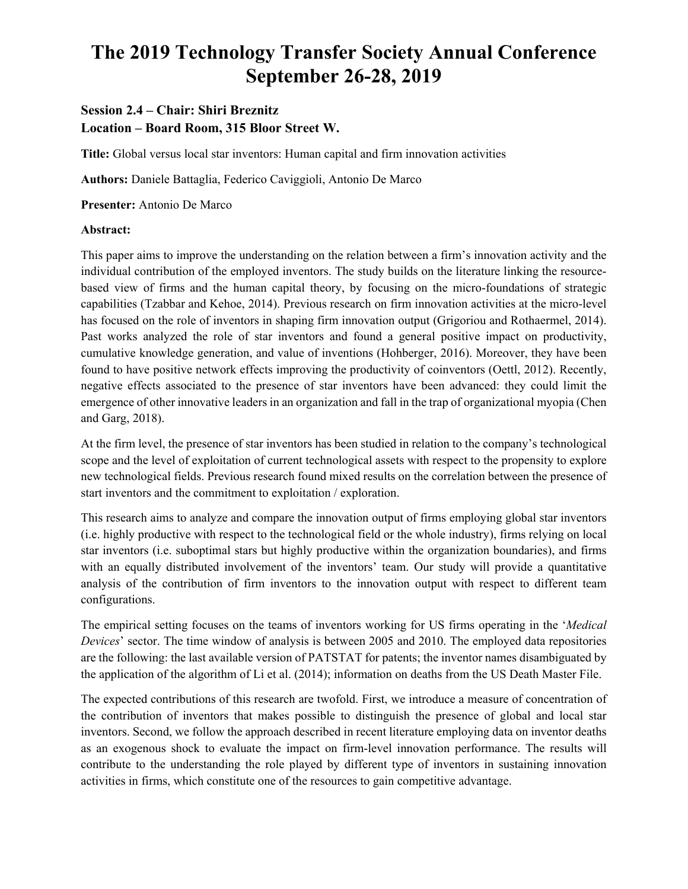# **The 2019 Technology Transfer Society Annual Conference September 26-28, 2019**

## **Session 2.4 – Chair: Shiri Breznitz Location – Board Room, 315 Bloor Street W.**

**Title:** Global versus local star inventors: Human capital and firm innovation activities

**Authors:** Daniele Battaglia, Federico Caviggioli, Antonio De Marco

**Presenter:** Antonio De Marco

## **Abstract:**

This paper aims to improve the understanding on the relation between a firm's innovation activity and the individual contribution of the employed inventors. The study builds on the literature linking the resourcebased view of firms and the human capital theory, by focusing on the micro-foundations of strategic capabilities (Tzabbar and Kehoe, 2014). Previous research on firm innovation activities at the micro-level has focused on the role of inventors in shaping firm innovation output (Grigoriou and Rothaermel, 2014). Past works analyzed the role of star inventors and found a general positive impact on productivity, cumulative knowledge generation, and value of inventions (Hohberger, 2016). Moreover, they have been found to have positive network effects improving the productivity of coinventors (Oettl, 2012). Recently, negative effects associated to the presence of star inventors have been advanced: they could limit the emergence of other innovative leaders in an organization and fall in the trap of organizational myopia (Chen and Garg, 2018).

At the firm level, the presence of star inventors has been studied in relation to the company's technological scope and the level of exploitation of current technological assets with respect to the propensity to explore new technological fields. Previous research found mixed results on the correlation between the presence of start inventors and the commitment to exploitation / exploration.

This research aims to analyze and compare the innovation output of firms employing global star inventors (i.e. highly productive with respect to the technological field or the whole industry), firms relying on local star inventors (i.e. suboptimal stars but highly productive within the organization boundaries), and firms with an equally distributed involvement of the inventors' team. Our study will provide a quantitative analysis of the contribution of firm inventors to the innovation output with respect to different team configurations.

The empirical setting focuses on the teams of inventors working for US firms operating in the '*Medical Devices*' sector. The time window of analysis is between 2005 and 2010. The employed data repositories are the following: the last available version of PATSTAT for patents; the inventor names disambiguated by the application of the algorithm of Li et al. (2014); information on deaths from the US Death Master File.

The expected contributions of this research are twofold. First, we introduce a measure of concentration of the contribution of inventors that makes possible to distinguish the presence of global and local star inventors. Second, we follow the approach described in recent literature employing data on inventor deaths as an exogenous shock to evaluate the impact on firm-level innovation performance. The results will contribute to the understanding the role played by different type of inventors in sustaining innovation activities in firms, which constitute one of the resources to gain competitive advantage.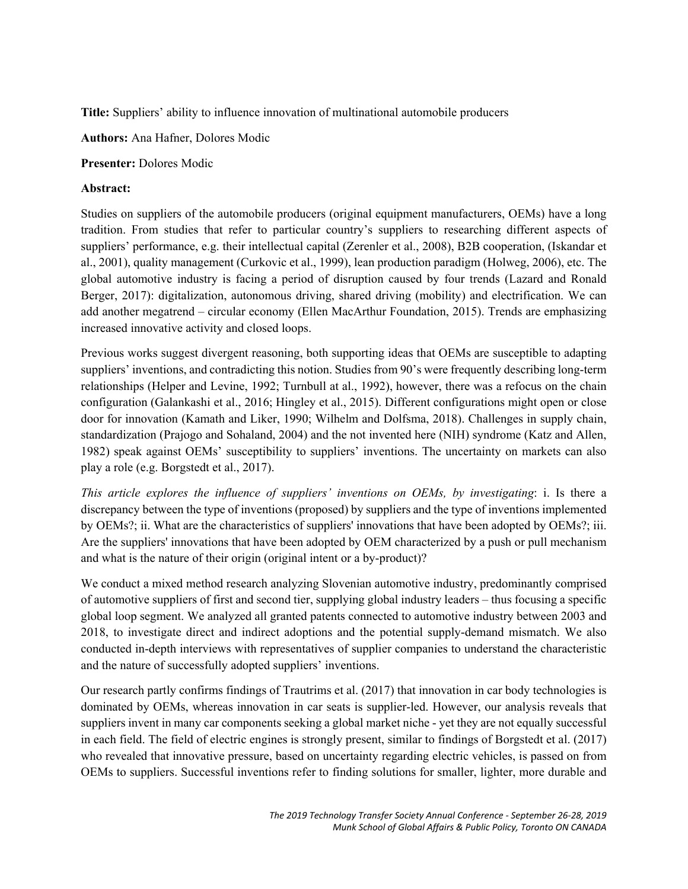**Title:** Suppliers' ability to influence innovation of multinational automobile producers

**Authors:** Ana Hafner, Dolores Modic

**Presenter:** Dolores Modic

## **Abstract:**

Studies on suppliers of the automobile producers (original equipment manufacturers, OEMs) have a long tradition. From studies that refer to particular country's suppliers to researching different aspects of suppliers' performance, e.g. their intellectual capital (Zerenler et al., 2008), B2B cooperation, (Iskandar et al., 2001), quality management (Curkovic et al., 1999), lean production paradigm (Holweg, 2006), etc. The global automotive industry is facing a period of disruption caused by four trends (Lazard and Ronald Berger, 2017): digitalization, autonomous driving, shared driving (mobility) and electrification. We can add another megatrend – circular economy (Ellen MacArthur Foundation, 2015). Trends are emphasizing increased innovative activity and closed loops.

Previous works suggest divergent reasoning, both supporting ideas that OEMs are susceptible to adapting suppliers' inventions, and contradicting this notion. Studies from 90's were frequently describing long-term relationships (Helper and Levine, 1992; Turnbull at al., 1992), however, there was a refocus on the chain configuration (Galankashi et al., 2016; Hingley et al., 2015). Different configurations might open or close door for innovation (Kamath and Liker, 1990; Wilhelm and Dolfsma, 2018). Challenges in supply chain, standardization (Prajogo and Sohaland, 2004) and the not invented here (NIH) syndrome (Katz and Allen, 1982) speak against OEMs' susceptibility to suppliers' inventions. The uncertainty on markets can also play a role (e.g. Borgstedt et al., 2017).

*This article explores the influence of suppliers' inventions on OEMs, by investigating*: i. Is there a discrepancy between the type of inventions (proposed) by suppliers and the type of inventions implemented by OEMs?; ii. What are the characteristics of suppliers' innovations that have been adopted by OEMs?; iii. Are the suppliers' innovations that have been adopted by OEM characterized by a push or pull mechanism and what is the nature of their origin (original intent or a by-product)?

We conduct a mixed method research analyzing Slovenian automotive industry, predominantly comprised of automotive suppliers of first and second tier, supplying global industry leaders – thus focusing a specific global loop segment. We analyzed all granted patents connected to automotive industry between 2003 and 2018, to investigate direct and indirect adoptions and the potential supply-demand mismatch. We also conducted in-depth interviews with representatives of supplier companies to understand the characteristic and the nature of successfully adopted suppliers' inventions.

Our research partly confirms findings of Trautrims et al. (2017) that innovation in car body technologies is dominated by OEMs, whereas innovation in car seats is supplier-led. However, our analysis reveals that suppliers invent in many car components seeking a global market niche - yet they are not equally successful in each field. The field of electric engines is strongly present, similar to findings of Borgstedt et al. (2017) who revealed that innovative pressure, based on uncertainty regarding electric vehicles, is passed on from OEMs to suppliers. Successful inventions refer to finding solutions for smaller, lighter, more durable and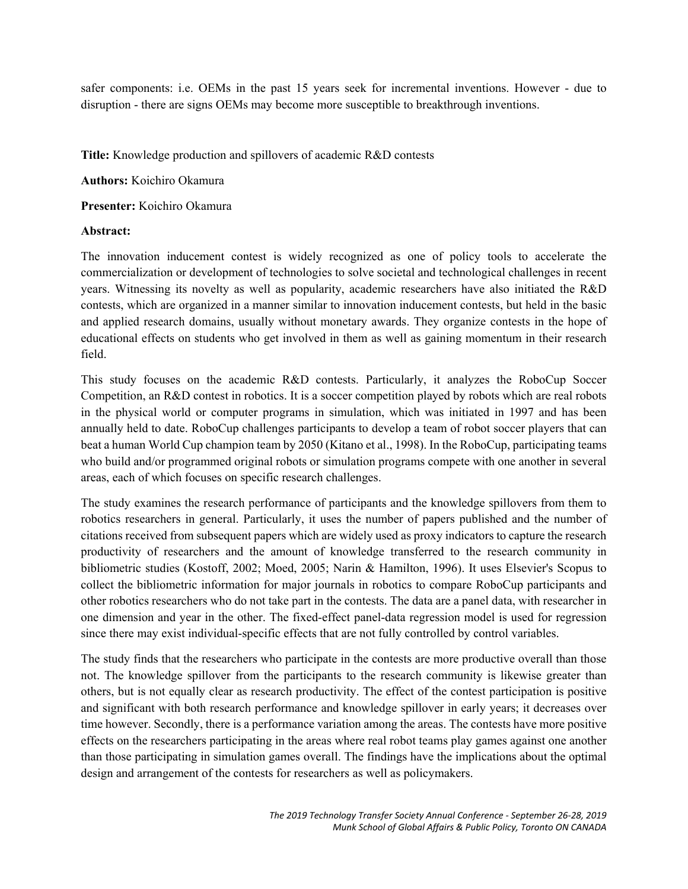safer components: i.e. OEMs in the past 15 years seek for incremental inventions. However - due to disruption - there are signs OEMs may become more susceptible to breakthrough inventions.

**Title:** Knowledge production and spillovers of academic R&D contests

**Authors:** Koichiro Okamura

**Presenter:** Koichiro Okamura

#### **Abstract:**

The innovation inducement contest is widely recognized as one of policy tools to accelerate the commercialization or development of technologies to solve societal and technological challenges in recent years. Witnessing its novelty as well as popularity, academic researchers have also initiated the R&D contests, which are organized in a manner similar to innovation inducement contests, but held in the basic and applied research domains, usually without monetary awards. They organize contests in the hope of educational effects on students who get involved in them as well as gaining momentum in their research field.

This study focuses on the academic R&D contests. Particularly, it analyzes the RoboCup Soccer Competition, an R&D contest in robotics. It is a soccer competition played by robots which are real robots in the physical world or computer programs in simulation, which was initiated in 1997 and has been annually held to date. RoboCup challenges participants to develop a team of robot soccer players that can beat a human World Cup champion team by 2050 (Kitano et al., 1998). In the RoboCup, participating teams who build and/or programmed original robots or simulation programs compete with one another in several areas, each of which focuses on specific research challenges.

The study examines the research performance of participants and the knowledge spillovers from them to robotics researchers in general. Particularly, it uses the number of papers published and the number of citations received from subsequent papers which are widely used as proxy indicators to capture the research productivity of researchers and the amount of knowledge transferred to the research community in bibliometric studies (Kostoff, 2002; Moed, 2005; Narin & Hamilton, 1996). It uses Elsevier's Scopus to collect the bibliometric information for major journals in robotics to compare RoboCup participants and other robotics researchers who do not take part in the contests. The data are a panel data, with researcher in one dimension and year in the other. The fixed-effect panel-data regression model is used for regression since there may exist individual-specific effects that are not fully controlled by control variables.

The study finds that the researchers who participate in the contests are more productive overall than those not. The knowledge spillover from the participants to the research community is likewise greater than others, but is not equally clear as research productivity. The effect of the contest participation is positive and significant with both research performance and knowledge spillover in early years; it decreases over time however. Secondly, there is a performance variation among the areas. The contests have more positive effects on the researchers participating in the areas where real robot teams play games against one another than those participating in simulation games overall. The findings have the implications about the optimal design and arrangement of the contests for researchers as well as policymakers.